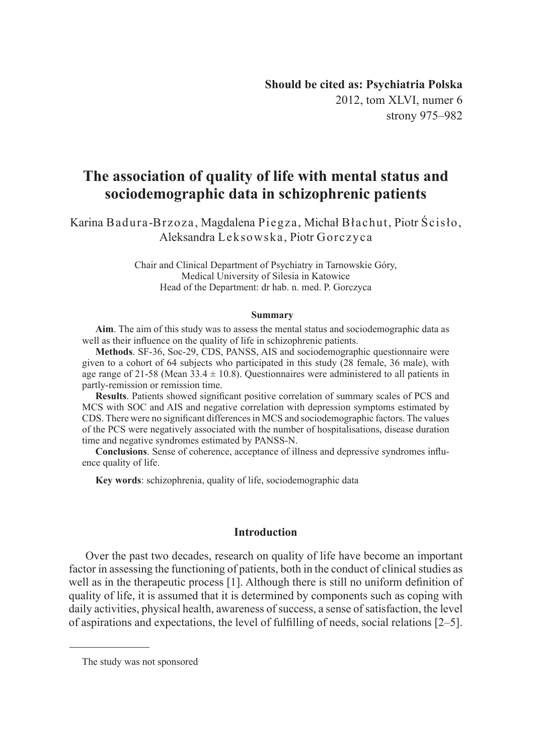2012, tom XLVI, numer 6 strony 975–982

# **The association of quality of life with mental status and sociodemographic data in schizophrenic patients**

Karina Badura-Brzoza, Magdalena Piegza, Michał Błachut, Piotr Ścisło, Aleksandra Leksowska, Piotr Gorczyca

> Chair and Clinical Department of Psychiatry in Tarnowskie Góry, Medical University of Silesia in Katowice Head of the Department: dr hab. n. med. P. Gorczyca

#### **Summary**

**Aim**. The aim of this study was to assess the mental status and sociodemographic data as well as their influence on the quality of life in schizophrenic patients.

**Methods**. SF-36, Soc-29, CDS, PANSS, AIS and sociodemographic questionnaire were given to a cohort of 64 subjects who participated in this study (28 female, 36 male), with age range of 21-58 (Mean  $33.4 \pm 10.8$ ). Questionnaires were administered to all patients in partly-remission or remission time.

**Results**. Patients showed significant positive correlation of summary scales of PCS and MCS with SOC and AIS and negative correlation with depression symptoms estimated by CDS. There were no significant differences in MCS and sociodemographic factors. The values of the PCS were negatively associated with the number of hospitalisations, disease duration time and negative syndromes estimated by PANSS-N.

**Conclusions**. Sense of coherence, acceptance of illness and depressive syndromes influence quality of life.

**Key words**: schizophrenia, quality of life, sociodemographic data

#### **Introduction**

Over the past two decades, research on quality of life have become an important factor in assessing the functioning of patients, both in the conduct of clinical studies as well as in the therapeutic process [1]. Although there is still no uniform definition of quality of life, it is assumed that it is determined by components such as coping with daily activities, physical health, awareness of success, a sense of satisfaction, the level of aspirations and expectations, the level of fulfilling of needs, social relations [2–5].

The study was not sponsored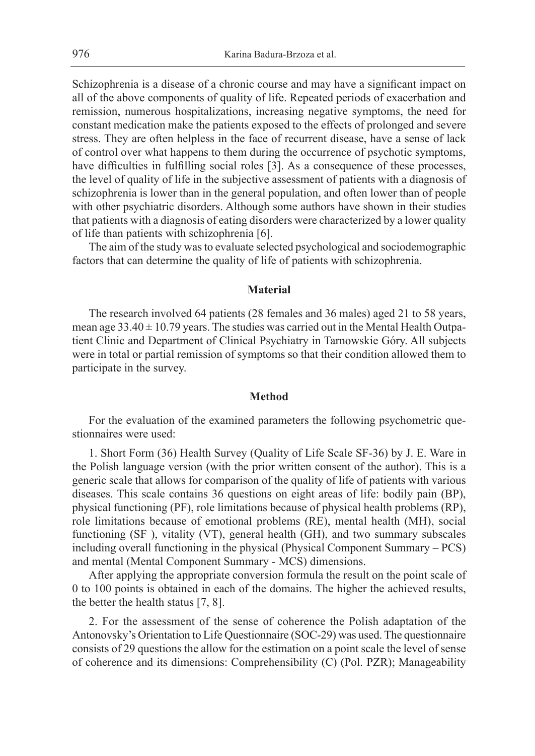Schizophrenia is a disease of a chronic course and may have a significant impact on all of the above components of quality of life. Repeated periods of exacerbation and remission, numerous hospitalizations, increasing negative symptoms, the need for constant medication make the patients exposed to the effects of prolonged and severe stress. They are often helpless in the face of recurrent disease, have a sense of lack of control over what happens to them during the occurrence of psychotic symptoms, have difficulties in fulfilling social roles [3]. As a consequence of these processes, the level of quality of life in the subjective assessment of patients with a diagnosis of schizophrenia is lower than in the general population, and often lower than of people with other psychiatric disorders. Although some authors have shown in their studies that patients with a diagnosis of eating disorders were characterized by a lower quality of life than patients with schizophrenia [6].

The aim of the study was to evaluate selected psychological and sociodemographic factors that can determine the quality of life of patients with schizophrenia.

#### **Material**

The research involved 64 patients (28 females and 36 males) aged 21 to 58 years, mean age  $33.40 \pm 10.79$  years. The studies was carried out in the Mental Health Outpatient Clinic and Department of Clinical Psychiatry in Tarnowskie Góry. All subjects were in total or partial remission of symptoms so that their condition allowed them to participate in the survey.

#### **Method**

For the evaluation of the examined parameters the following psychometric questionnaires were used:

1. Short Form (36) Health Survey (Quality of Life Scale SF-36) by J. E. Ware in the Polish language version (with the prior written consent of the author). This is a generic scale that allows for comparison of the quality of life of patients with various diseases. This scale contains 36 questions on eight areas of life: bodily pain (BP), physical functioning (PF), role limitations because of physical health problems (RP), role limitations because of emotional problems (RE), mental health (MH), social functioning (SF ), vitality (VT), general health (GH), and two summary subscales including overall functioning in the physical (Physical Component Summary – PCS) and mental (Mental Component Summary - MCS) dimensions.

After applying the appropriate conversion formula the result on the point scale of 0 to 100 points is obtained in each of the domains. The higher the achieved results, the better the health status [7, 8].

2. For the assessment of the sense of coherence the Polish adaptation of the Antonovsky's Orientation to Life Questionnaire (SOC-29) was used. The questionnaire consists of 29 questions the allow for the estimation on a point scale the level of sense of coherence and its dimensions: Comprehensibility (C) (Pol. PZR); Manageability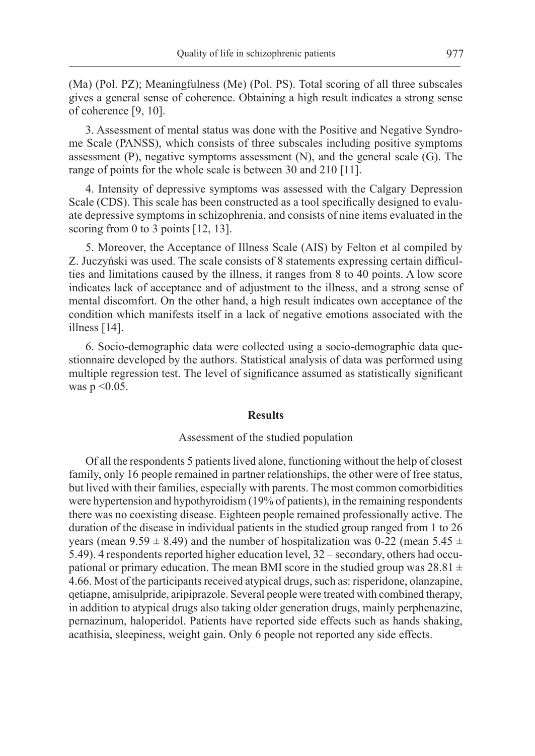(Ma) (Pol. PZ); Meaningfulness (Me) (Pol. PS). Total scoring of all three subscales gives a general sense of coherence. Obtaining a high result indicates a strong sense of coherence [9, 10].

3. Assessment of mental status was done with the Positive and Negative Syndrome Scale (PANSS), which consists of three subscales including positive symptoms assessment (P), negative symptoms assessment (N), and the general scale (G). The range of points for the whole scale is between 30 and 210 [11].

4. Intensity of depressive symptoms was assessed with the Calgary Depression Scale (CDS). This scale has been constructed as a tool specifically designed to evaluate depressive symptoms in schizophrenia, and consists of nine items evaluated in the scoring from 0 to 3 points [12, 13].

5. Moreover, the Acceptance of Illness Scale (AIS) by Felton et al compiled by Z. Juczyński was used. The scale consists of 8 statements expressing certain difficulties and limitations caused by the illness, it ranges from 8 to 40 points. A low score indicates lack of acceptance and of adjustment to the illness, and a strong sense of mental discomfort. On the other hand, a high result indicates own acceptance of the condition which manifests itself in a lack of negative emotions associated with the illness [14].

6. Socio-demographic data were collected using a socio-demographic data questionnaire developed by the authors. Statistical analysis of data was performed using multiple regression test. The level of significance assumed as statistically significant was  $p \le 0.05$ .

#### **Results**

#### Assessment of the studied population

Of all the respondents 5 patients lived alone, functioning without the help of closest family, only 16 people remained in partner relationships, the other were of free status, but lived with their families, especially with parents. The most common comorbidities were hypertension and hypothyroidism (19% of patients), in the remaining respondents there was no coexisting disease. Eighteen people remained professionally active. The duration of the disease in individual patients in the studied group ranged from 1 to 26 years (mean 9.59  $\pm$  8.49) and the number of hospitalization was 0-22 (mean 5.45  $\pm$ 5.49). 4 respondents reported higher education level, 32 – secondary, others had occupational or primary education. The mean BMI score in the studied group was  $28.81 \pm$ 4.66. Most of the participants received atypical drugs, such as: risperidone, olanzapine, qetiapne, amisulpride, aripiprazole. Several people were treated with combined therapy, in addition to atypical drugs also taking older generation drugs, mainly perphenazine, pernazinum, haloperidol. Patients have reported side effects such as hands shaking, acathisia, sleepiness, weight gain. Only 6 people not reported any side effects.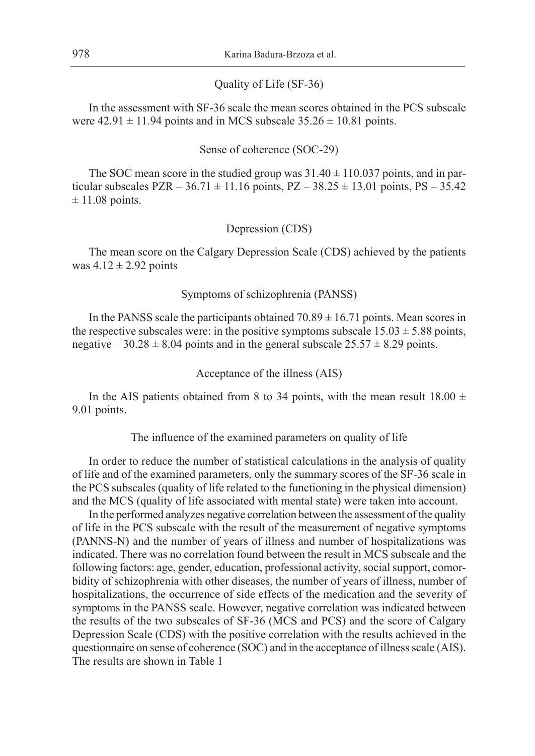#### Quality of Life (SF-36)

In the assessment with SF-36 scale the mean scores obtained in the PCS subscale were  $42.91 \pm 11.94$  points and in MCS subscale  $35.26 \pm 10.81$  points.

#### Sense of coherence (SOC-29)

The SOC mean score in the studied group was  $31.40 \pm 110.037$  points, and in particular subscales  $PZR - 36.71 \pm 11.16$  points,  $PZ - 38.25 \pm 13.01$  points,  $PS - 35.42$  $\pm$  11.08 points.

#### Depression (CDS)

The mean score on the Calgary Depression Scale (CDS) achieved by the patients was  $4.12 \pm 2.92$  points

### Symptoms of schizophrenia (PANSS)

In the PANSS scale the participants obtained  $70.89 \pm 16.71$  points. Mean scores in the respective subscales were: in the positive symptoms subscale  $15.03 \pm 5.88$  points, negative – 30.28  $\pm$  8.04 points and in the general subscale 25.57  $\pm$  8.29 points.

### Acceptance of the illness (AIS)

In the AIS patients obtained from 8 to 34 points, with the mean result  $18.00 \pm$ 9.01 points.

The influence of the examined parameters on quality of life

In order to reduce the number of statistical calculations in the analysis of quality of life and of the examined parameters, only the summary scores of the SF-36 scale in the PCS subscales (quality of life related to the functioning in the physical dimension) and the MCS (quality of life associated with mental state) were taken into account.

In the performed analyzes negative correlation between the assessment of the quality of life in the PCS subscale with the result of the measurement of negative symptoms (PANNS-N) and the number of years of illness and number of hospitalizations was indicated. There was no correlation found between the result in MCS subscale and the following factors: age, gender, education, professional activity, social support, comorbidity of schizophrenia with other diseases, the number of years of illness, number of hospitalizations, the occurrence of side effects of the medication and the severity of symptoms in the PANSS scale. However, negative correlation was indicated between the results of the two subscales of SF-36 (MCS and PCS) and the score of Calgary Depression Scale (CDS) with the positive correlation with the results achieved in the questionnaire on sense of coherence (SOC) and in the acceptance of illness scale (AIS). The results are shown in Table 1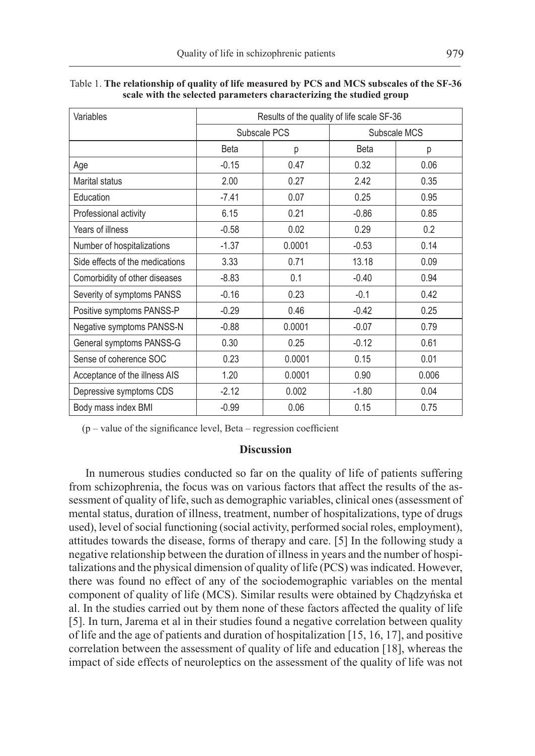| Variables                       | Results of the quality of life scale SF-36 |        |              |       |
|---------------------------------|--------------------------------------------|--------|--------------|-------|
|                                 | Subscale PCS                               |        | Subscale MCS |       |
|                                 | <b>Beta</b>                                | р      | <b>Beta</b>  | р     |
| Age                             | $-0.15$                                    | 0.47   | 0.32         | 0.06  |
| Marital status                  | 2.00                                       | 0.27   | 2.42         | 0.35  |
| Education                       | $-7.41$                                    | 0.07   | 0.25         | 0.95  |
| Professional activity           | 6.15                                       | 0.21   | $-0.86$      | 0.85  |
| Years of illness                | $-0.58$                                    | 0.02   | 0.29         | 0.2   |
| Number of hospitalizations      | $-1.37$                                    | 0.0001 | $-0.53$      | 0.14  |
| Side effects of the medications | 3.33                                       | 0.71   | 13.18        | 0.09  |
| Comorbidity of other diseases   | $-8.83$                                    | 0.1    | $-0.40$      | 0.94  |
| Severity of symptoms PANSS      | $-0.16$                                    | 0.23   | $-0.1$       | 0.42  |
| Positive symptoms PANSS-P       | $-0.29$                                    | 0.46   | $-0.42$      | 0.25  |
| Negative symptoms PANSS-N       | $-0.88$                                    | 0.0001 | $-0.07$      | 0.79  |
| General symptoms PANSS-G        | 0.30                                       | 0.25   | $-0.12$      | 0.61  |
| Sense of coherence SOC          | 0.23                                       | 0.0001 | 0.15         | 0.01  |
| Acceptance of the illness AIS   | 1.20                                       | 0.0001 | 0.90         | 0.006 |
| Depressive symptoms CDS         | $-2.12$                                    | 0.002  | $-1.80$      | 0.04  |
| Body mass index BMI             | $-0.99$                                    | 0.06   | 0.15         | 0.75  |

Table 1. **The relationship of quality of life measured by PCS and MCS subscales of the SF-36 scale with the selected parameters characterizing the studied group**

(p – value of the significance level, Beta – regression coefficient

# **Discussion**

In numerous studies conducted so far on the quality of life of patients suffering from schizophrenia, the focus was on various factors that affect the results of the assessment of quality of life, such as demographic variables, clinical ones (assessment of mental status, duration of illness, treatment, number of hospitalizations, type of drugs used), level of social functioning (social activity, performed social roles, employment), attitudes towards the disease, forms of therapy and care. [5] In the following study a negative relationship between the duration of illness in years and the number of hospitalizations and the physical dimension of quality of life (PCS) was indicated. However, there was found no effect of any of the sociodemographic variables on the mental component of quality of life (MCS). Similar results were obtained by Chądzyńska et al. In the studies carried out by them none of these factors affected the quality of life [5]. In turn, Jarema et al in their studies found a negative correlation between quality of life and the age of patients and duration of hospitalization [15, 16, 17], and positive correlation between the assessment of quality of life and education [18], whereas the impact of side effects of neuroleptics on the assessment of the quality of life was not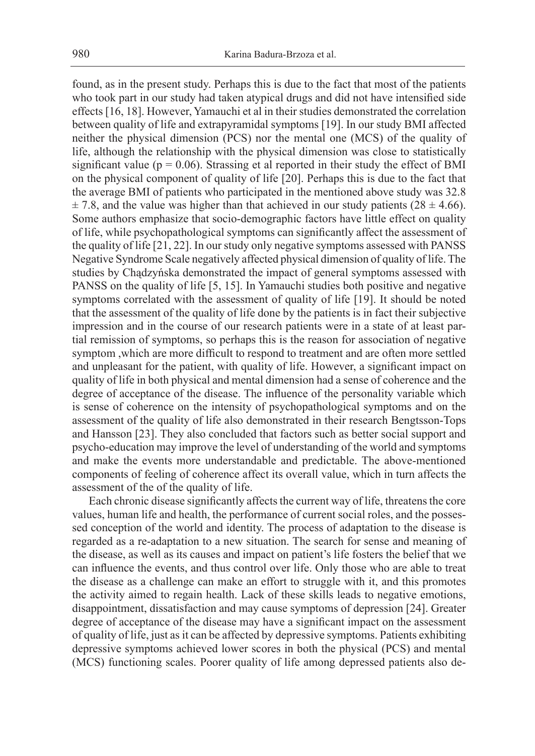found, as in the present study. Perhaps this is due to the fact that most of the patients who took part in our study had taken atypical drugs and did not have intensified side effects [16, 18]. However, Yamauchi et al in their studies demonstrated the correlation between quality of life and extrapyramidal symptoms [19]. In our study BMI affected neither the physical dimension (PCS) nor the mental one (MCS) of the quality of life, although the relationship with the physical dimension was close to statistically significant value ( $p = 0.06$ ). Strassing et al reported in their study the effect of BMI on the physical component of quality of life [20]. Perhaps this is due to the fact that the average BMI of patients who participated in the mentioned above study was 32.8  $\pm$  7.8, and the value was higher than that achieved in our study patients (28  $\pm$  4.66). Some authors emphasize that socio-demographic factors have little effect on quality of life, while psychopathological symptoms can significantly affect the assessment of the quality of life [21, 22]. In our study only negative symptoms assessed with PANSS Negative Syndrome Scale negatively affected physical dimension of quality of life. The studies by Chądzyńska demonstrated the impact of general symptoms assessed with PANSS on the quality of life [5, 15]. In Yamauchi studies both positive and negative symptoms correlated with the assessment of quality of life [19]. It should be noted that the assessment of the quality of life done by the patients is in fact their subjective impression and in the course of our research patients were in a state of at least partial remission of symptoms, so perhaps this is the reason for association of negative symptom ,which are more difficult to respond to treatment and are often more settled and unpleasant for the patient, with quality of life. However, a significant impact on quality of life in both physical and mental dimension had a sense of coherence and the degree of acceptance of the disease. The influence of the personality variable which is sense of coherence on the intensity of psychopathological symptoms and on the assessment of the quality of life also demonstrated in their research Bengtsson-Tops and Hansson [23]. They also concluded that factors such as better social support and psycho-education may improve the level of understanding of the world and symptoms and make the events more understandable and predictable. The above-mentioned components of feeling of coherence affect its overall value, which in turn affects the assessment of the of the quality of life.

Each chronic disease significantly affects the current way of life, threatens the core values, human life and health, the performance of current social roles, and the possessed conception of the world and identity. The process of adaptation to the disease is regarded as a re-adaptation to a new situation. The search for sense and meaning of the disease, as well as its causes and impact on patient's life fosters the belief that we can influence the events, and thus control over life. Only those who are able to treat the disease as a challenge can make an effort to struggle with it, and this promotes the activity aimed to regain health. Lack of these skills leads to negative emotions, disappointment, dissatisfaction and may cause symptoms of depression [24]. Greater degree of acceptance of the disease may have a significant impact on the assessment of quality of life, just as it can be affected by depressive symptoms. Patients exhibiting depressive symptoms achieved lower scores in both the physical (PCS) and mental (MCS) functioning scales. Poorer quality of life among depressed patients also de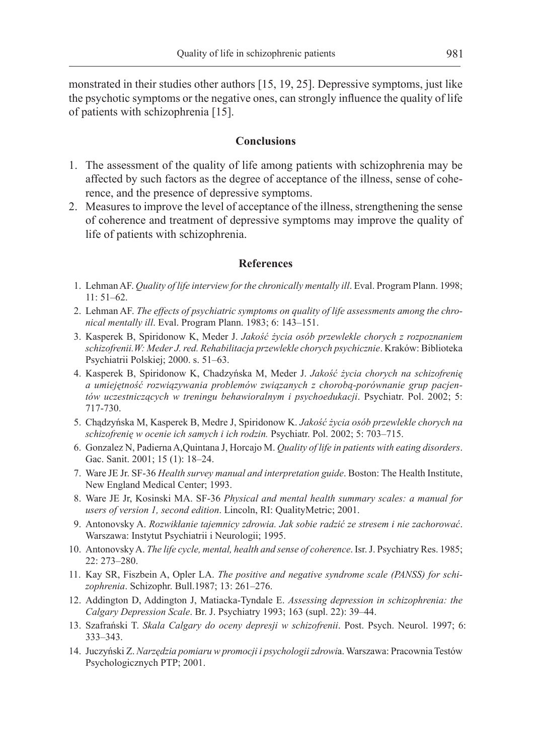monstrated in their studies other authors [15, 19, 25]. Depressive symptoms, just like the psychotic symptoms or the negative ones, can strongly influence the quality of life of patients with schizophrenia [15].

# **Conclusions**

- 1. The assessment of the quality of life among patients with schizophrenia may be affected by such factors as the degree of acceptance of the illness, sense of coherence, and the presence of depressive symptoms.
- 2. Measures to improve the level of acceptance of the illness, strengthening the sense of coherence and treatment of depressive symptoms may improve the quality of life of patients with schizophrenia.

# **References**

- 1. Lehman AF. *Quality of life interview for the chronically mentally ill*. Eval. Program Plann. 1998; 11: 51–62.
- 2. Lehman AF. *The effects of psychiatric symptoms on quality of life assessments among the chronical mentally ill*. Eval. Program Plann. 1983; 6: 143–151.
- 3. Kasperek B, Spiridonow K, Meder J. *Jakość życia osób przewlekle chorych z rozpoznaniem schizofrenii.W: Meder J. red. Rehabilitacja przewlekle chorych psychicznie*. Kraków: Biblioteka Psychiatrii Polskiej; 2000. s. 51–63.
- 4. Kasperek B, Spiridonow K, Chadzyńska M, Meder J. *Jakość życia chorych na schizofrenię a umiejętność rozwiązywania problemów związanych z chorobą-porównanie grup pacjentów uczestniczących w treningu behawioralnym i psychoedukacji*. Psychiatr. Pol. 2002; 5: 717-730.
- 5. Chądzyńska M, Kasperek B, Medre J, Spiridonow K. *Jakość życia osób przewlekle chorych na schizofrenię w ocenie ich samych i ich rodzin.* Psychiatr. Pol. 2002; 5: 703–715.
- 6. Gonzalez N, Padierna A,Quintana J, Horcajo M. *Quality of life in patients with eating disorders*. Gac. Sanit. 2001; 15 (1): 18–24.
- 7. Ware JE Jr. SF-36 *Health survey manual and interpretation guide*. Boston: The Health Institute, New England Medical Center; 1993.
- 8. Ware JE Jr, Kosinski MA. SF-36 *Physical and mental health summary scales: a manual for users of version 1, second edition*. Lincoln, RI: QualityMetric; 2001.
- 9. Antonovsky A. *Rozwikłanie tajemnicy zdrowia. Jak sobie radzić ze stresem i nie zachorować*. Warszawa: Instytut Psychiatrii i Neurologii; 1995.
- 10. Antonovsky A. *The life cycle, mental, health and sense of coherence*. Isr. J. Psychiatry Res. 1985; 22: 273–280.
- 11. Kay SR, Fiszbein A, Opler LA. *The positive and negative syndrome scale (PANSS) for schizophrenia*. Schizophr. Bull.1987; 13: 261–276.
- 12. Addington D, Addington J, Matiacka-Tyndale E. *Assessing depression in schizophrenia: the Calgary Depression Scale*. Br. J. Psychiatry 1993; 163 (supl. 22): 39–44.
- 13. Szafrański T. *Skala Calgary do oceny depresji w schizofrenii*. Post. Psych. Neurol. 1997; 6: 333–343.
- 14. Juczyński Z. *Narzędzia pomiaru w promocji i psychologii zdrowi*a. Warszawa: Pracownia Testów Psychologicznych PTP; 2001.